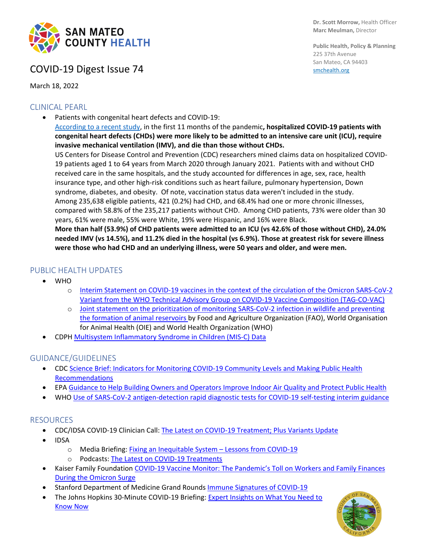

# COVID-19 Digest Issue 74

March 18, 2022

### CLINICAL PEARL

• Patients with congenital heart defects and COVID-19: [According to a recent study,](https://www.ahajournals.org/doi/10.1161/CIRCULATIONAHA.121.057833) in the first 11 months of the pandemic**, hospitalized COVID-19 patients with congenital heart defects (CHDs) were more likely to be admitted to an intensive care unit (ICU), require invasive mechanical ventilation (IMV), and die than those without CHDs.** US Centers for Disease Control and Prevention (CDC) researchers mined claims data on hospitalized COVID-19 patients aged 1 to 64 years from March 2020 through January 2021. Patients with and without CHD received care in the same hospitals, and the study accounted for differences in age, sex, race, health insurance type, and other high-risk conditions such as heart failure, pulmonary hypertension, Down syndrome, diabetes, and obesity. Of note, vaccination status data weren't included in the study. Among 235,638 eligible patients, 421 (0.2%) had CHD, and 68.4% had one or more chronic illnesses, compared with 58.8% of the 235,217 patients without CHD. Among CHD patients, 73% were older than 30 years, 61% were male, 55% were White, 19% were Hispanic, and 16% were Black. **More than half (53.9%) of CHD patients were admitted to an ICU (vs 42.6% of those without CHD), 24.0%** 

**needed IMV (vs 14.5%), and 11.2% died in the hospital (vs 6.9%). Those at greatest risk for severe illness were those who had CHD and an underlying illness, were 50 years and older, and were men.**

## PUBLIC HEALTH UPDATES

- WHO
	- o [Interim Statement on COVID-19 vaccines in the context of the circulation of the Omicron SARS-CoV-2](https://www.who.int/news/item/08-03-2022-interim-statement-on-covid-19-vaccines-in-the-context-of-the-circulation-of-the-omicron-sars-cov-2-variant-from-the-who-technical-advisory-group-on-covid-19-vaccine-composition-(tag-co-vac)-08-march-2022)  [Variant from the WHO Technical Advisory Group on COVID-19 Vaccine Composition \(TAG-CO-VAC\)](https://www.who.int/news/item/08-03-2022-interim-statement-on-covid-19-vaccines-in-the-context-of-the-circulation-of-the-omicron-sars-cov-2-variant-from-the-who-technical-advisory-group-on-covid-19-vaccine-composition-(tag-co-vac)-08-march-2022)
	- o [Joint statement on the prioritization of monitoring SARS-CoV-2 infection in wildlife and preventing](https://www.who.int/news/item/07-03-2022-joint-statement-on-the-prioritization-of-monitoring-sars-cov-2-infection-in-wildlife-and-preventing-the-formation-of-animal-reservoirs)  [the formation of animal reservoirs](https://www.who.int/news/item/07-03-2022-joint-statement-on-the-prioritization-of-monitoring-sars-cov-2-infection-in-wildlife-and-preventing-the-formation-of-animal-reservoirs) by Food and Agriculture Organization (FAO), World Organisation for Animal Health (OIE) and World Health Organization (WHO)
- CDPH [Multisystem Inflammatory Syndrome in Children \(MIS-C\) Data](https://www.cdph.ca.gov/Programs/CID/DCDC/Pages/COVID-19/MIS-C-Data.aspx)

### GUIDANCE/GUIDELINES

- CDC [Science Brief: Indicators for Monitoring COVID-19 Community Levels and Making](https://www.cdc.gov/coronavirus/2019-ncov/science/science-briefs/indicators-monitoring-community-levels.html) Public Health [Recommendations](https://www.cdc.gov/coronavirus/2019-ncov/science/science-briefs/indicators-monitoring-community-levels.html)
- EPA [Guidance to Help Building Owners and Operators Improve Indoor Air Quality and Protect Public Health](https://www.epa.gov/indoor-air-quality-iaq/clean-air-buildings-challenge)
- WH[O Use of SARS-CoV-2 antigen-detection rapid diagnostic tests for COVID-19 self-testing interim guidance](https://www.who.int/publications/i/item/WHO-2019-nCoV-Ag-RDTs-Self_testing-2022.1)

### RESOURCES

- CDC/IDSA COVID-19 Clinician Call: [The Latest on COVID-19 Treatment; Plus Variants Update](https://www.idsociety.org/multimedia/clinician-calls/cdcidsa-covid-19-clinician-call-the-latest-on-covid-19-treatment-plus-variants-update/)
- IDSA
	- o Media Briefing: [Fixing an Inequitable System –](https://www.idsociety.org/multimedia/videos/idsa-media-briefing-fixing-an-inequitable-system--lessons-from-covid-19/) Lessons from COVID-19
	- o Podcasts: [The Latest on COVID-19 Treatments](https://www.idsociety.org/multimedia/podcasts/the-latest-on-covid-19-treatments-march-12-2022/)
- Kaiser Family Foundation [COVID-19 Vaccine Monitor: The Pandemic's Toll on Workers and Family Finances](https://www.kff.org/coronavirus-covid-19/poll-finding/kff-covid-19-vaccine-monitor-economic-impact/?utm_campaign=KFF-2022-polling-surveys&utm_medium=email&_hsmi=206402728&_hsenc=p2ANqtz--2ITm0xHpCCCiVCnxy_PxSMiJZgfRFL9Jw9d4lZMWv1HV-ccd-tBwRTr37_gZgDlOddT5p6_PL7DbvohJqNRtuAO9jXQ&utm_content=206402728&utm_source=hs_email)  [During the Omicron Surge](https://www.kff.org/coronavirus-covid-19/poll-finding/kff-covid-19-vaccine-monitor-economic-impact/?utm_campaign=KFF-2022-polling-surveys&utm_medium=email&_hsmi=206402728&_hsenc=p2ANqtz--2ITm0xHpCCCiVCnxy_PxSMiJZgfRFL9Jw9d4lZMWv1HV-ccd-tBwRTr37_gZgDlOddT5p6_PL7DbvohJqNRtuAO9jXQ&utm_content=206402728&utm_source=hs_email)
- Stanford Department of Medicine Grand Rounds [Immune Signatures of COVID-19](https://www.youtube.com/watch?v=k0d8T0AEFFU)
- The Johns Hopkins 30-Minute COVID-19 Briefing: Expert Insights on What You Need to [Know Now](https://coronavirus.jhu.edu/live/events/covid-19-briefing-expert-insights)



**Public Health, Policy & Planning** 225 37th Avenue San Mateo, CA 94403 [smchealth.org](https://www.smchealth.org/)

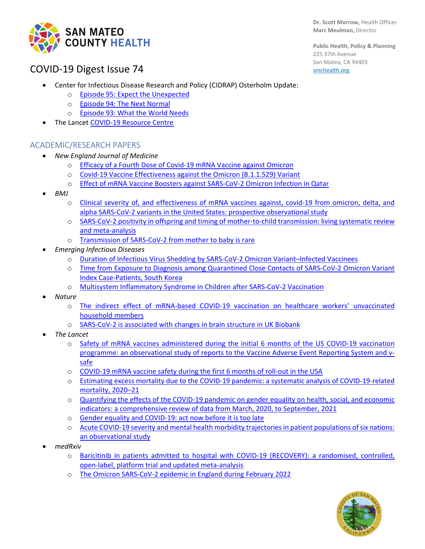

#### **Dr. Scott Morrow,** Health Officer **Marc Meulman,** Director

**Public Health, Policy & Planning** 225 37th Avenue San Mateo, CA 94403 [smchealth.org](https://www.smchealth.org/)

# COVID-19 Digest Issue 74

- Center for Infectious Disease Research and Policy (CIDRAP) Osterholm Update:
	- o [Episode 95: Expect the Unexpected](https://www.cidrap.umn.edu/covid-19/podcasts-webinars/episode-95)
	- o [Episode 94: The Next Normal](https://www.cidrap.umn.edu/covid-19/podcasts-webinars/episode-94)
	- o [Episode 93: What the World Needs](https://www.cidrap.umn.edu/covid-19/podcasts-webinars/episode-93)
- The Lancet [COVID-19 Resource Centre](https://www.thelancet.com/coronavirus?dgcid=kr_pop-up_tlcoronavirus20)

#### ACADEMIC/RESEARCH PAPERS

- *New England Journal of Medicine*
	- o [Efficacy of a Fourth Dose of Covid-19 mRNA Vaccine against Omicron](https://www.nejm.org/doi/full/10.1056/NEJMc2202542)
	- o [Covid-19 Vaccine Effectiveness against the Omicron \(B.1.1.529\) Variant](https://www.nejm.org/doi/full/10.1056/NEJMoa2119451)
	- o [Effect of mRNA Vaccine Boosters against SARS-CoV-2 Omicron Infection in Qatar](https://www.nejm.org/doi/full/10.1056/NEJMoa2200797)
- *BMJ*
	- o [Clinical severity of, and effectiveness of mRNA vaccines against, covid-19 from omicron, delta, and](https://www.bmj.com/content/376/bmj-2021-069761.short)  [alpha SARS-CoV-2 variants in the United States: prospective observational study](https://www.bmj.com/content/376/bmj-2021-069761.short)
	- o [SARS-CoV-2 positivity in offspring and timing of mother-to-child transmission: living systematic review](https://www.bmj.com/content/376/bmj-2021-067696)  [and meta-analysis](https://www.bmj.com/content/376/bmj-2021-067696)
	- o [Transmission of SARS-CoV-2 from mother to baby is rare](https://www.bmj.com/content/376/bmj.o593.short)
- *Emerging Infectious Diseases*
	- [Duration of Infectious Virus Shedding by SARS-CoV-2 Omicron Variant–Infected Vaccinees](https://protect-us.mimecast.com/s/kap5CrkqmZF9poNlUx_noh)
	- o [Time from Exposure to Diagnosis among Quarantined Close Contacts of SARS-CoV-2 Omicron Variant](https://wwwnc.cdc.gov/eid/article/28/4/22-0153_article)  [Index Case-Patients, South Korea](https://wwwnc.cdc.gov/eid/article/28/4/22-0153_article)
	- o [Multisystem Inflammatory Syndrome in Children after SARS-CoV-2 Vaccination](https://protect-us.mimecast.com/s/Sr0mCgJDnYFk0n0vH6h_Bc)
- *Nature*
	- o [The indirect effect of mRNA-based COVID-19 vaccination on healthcare workers' unvaccinated](https://www.nature.com/articles/s41467-022-28825-4)  [household members](https://www.nature.com/articles/s41467-022-28825-4)
	- o SARS-CoV-2 is [associated with changes in brain structure in UK Biobank](https://www.nature.com/articles/s41586-022-04569-5)
- *The Lancet*
	- o [Safety of mRNA vaccines administered during the initial 6 months of the US COVID-19 vaccination](https://www.thelancet.com/journals/laninf/article/PIIS1473-3099(22)00054-8/fulltext)  [programme: an observational study of reports to the Vaccine Adverse Event Reporting System and v](https://www.thelancet.com/journals/laninf/article/PIIS1473-3099(22)00054-8/fulltext)[safe](https://www.thelancet.com/journals/laninf/article/PIIS1473-3099(22)00054-8/fulltext)
	- o [COVID-19 mRNA vaccine safety during the first 6 months of roll-out in the USA](https://www.thelancet.com/journals/laninf/article/PIIS1473-3099(22)00123-2/fulltext)
	- o [Estimating excess mortality due to the COVID-19 pandemic: a systematic analysis of COVID-19-related](https://www.thelancet.com/journals/lancet/article/PIIS0140-6736(21)02796-3/fulltext)  [mortality, 2020–21](https://www.thelancet.com/journals/lancet/article/PIIS0140-6736(21)02796-3/fulltext)
	- o [Quantifying the effects of the COVID-19 pandemic on gender equality on health, social, and economic](https://www.thelancet.com/journals/lancet/article/PIIS0140-6736(22)00008-3/fulltext)  [indicators: a comprehensive review of data from March, 2020, to September, 2021](https://www.thelancet.com/journals/lancet/article/PIIS0140-6736(22)00008-3/fulltext)
	- o [Gender equality and COVID-19: act now before it is too late](https://www.thelancet.com/journals/lancet/article/PIIS0140-6736(22)00278-1/fulltext)
	- o [Acute COVID-19 severity and mental health morbidity trajectories in patient populations of six nations:](https://www.thelancet.com/journals/lanpub/article/PIIS2468-2667(22)00042-1/fulltext)  [an observational study](https://www.thelancet.com/journals/lanpub/article/PIIS2468-2667(22)00042-1/fulltext)
- *medRxiv*
	- o [Baricitinib in patients admitted to hospital with COVID-19 \(RECOVERY\): a randomised, controlled,](https://www.medrxiv.org/content/10.1101/2022.03.02.22271623v1)  [open-label, platform trial and updated meta-analysis](https://www.medrxiv.org/content/10.1101/2022.03.02.22271623v1)
	- o [The Omicron SARS-CoV-2 epidemic in England during February 2022](https://www.medrxiv.org/content/10.1101/2022.03.10.22272177v1.full.pdf)

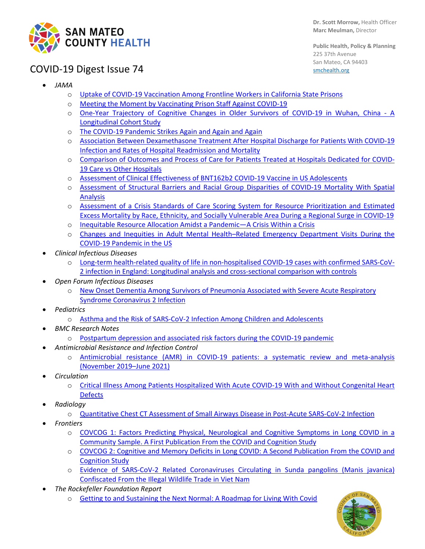

**Public Health, Policy & Planning** 225 37th Avenue San Mateo, CA 94403 [smchealth.org](https://www.smchealth.org/)

# COVID-19 Digest Issue 74

- *JAMA*
	- o [Uptake of COVID-19 Vaccination Among Frontline Workers in California State Prisons](https://jamanetwork.com/journals/jama-health-forum/fullarticle/2789952)
	- o [Meeting the Moment by Vaccinating Prison Staff Against COVID-19](https://jamanetwork.com/journals/jama-health-forum/fullarticle/2789955)
	- o [One-Year Trajectory of Cognitive Changes in Older Survivors of COVID-19 in Wuhan, China -](https://jamanetwork.com/journals/jamaneurology/fullarticle/2789919) A [Longitudinal Cohort Study](https://jamanetwork.com/journals/jamaneurology/fullarticle/2789919)
	- o [The COVID-19 Pandemic Strikes Again and Again and Again](https://jamanetwork.com/journals/jamanetworkopen/fullarticle/2789848)
	- o [Association Between Dexamethasone Treatment After Hospital Discharge for Patients With COVID-19](https://jamanetwork.com/journals/jamanetworkopen/fullarticle/2789710)  [Infection and Rates of Hospital Readmission and Mortality](https://jamanetwork.com/journals/jamanetworkopen/fullarticle/2789710)
	- o [Comparison of Outcomes and Process of Care for Patients Treated at Hospitals Dedicated for COVID-](https://jamanetwork.com/journals/jamanetworkopen/fullarticle/2789581)[19 Care vs Other Hospitals](https://jamanetwork.com/journals/jamanetworkopen/fullarticle/2789581)
	- o [Assessment of Clinical Effectiveness of BNT162b2 COVID-19 Vaccine in US Adolescents](https://jamanetwork.com/journals/jamanetworkopen/fullarticle/2789579)
	- o [Assessment of Structural Barriers and Racial Group Disparities of COVID-19 Mortality With Spatial](https://jamanetwork.com/journals/jamanetworkopen/fullarticle/2789619)  [Analysis](https://jamanetwork.com/journals/jamanetworkopen/fullarticle/2789619)
	- o [Assessment of a Crisis Standards of Care Scoring System for Resource Prioritization and Estimated](https://jamanetwork.com/journals/jamanetworkopen/fullarticle/2790104)  [Excess Mortality by Race, Ethnicity, and Socially Vulnerable Area During a Regional Surge in COVID-19](https://jamanetwork.com/journals/jamanetworkopen/fullarticle/2790104)
	- o [Inequitable Resource Allocation Amidst a Pandemic—A Crisis Within a Crisis](https://jamanetwork.com/journals/jamanetworkopen/fullarticle/2790110)
	- o [Changes and Inequities in Adult Mental Health–Related Emergency Department Visits During the](https://jamanetwork.com/journals/jamapsychiatry/fullarticle/2790337)  [COVID-19 Pandemic in the US](https://jamanetwork.com/journals/jamapsychiatry/fullarticle/2790337)
- *Clinical Infectious Diseases*
	- o [Long-term health-related quality of life in non-hospitalised COVID-19 cases with confirmed SARS-CoV-](https://academic.oup.com/cid/advance-article/doi/10.1093/cid/ciac151/6542727?login=false)[2 infection in England: Longitudinal analysis and cross-sectional comparison with controls](https://academic.oup.com/cid/advance-article/doi/10.1093/cid/ciac151/6542727?login=false)
- *Open Forum Infectious Diseases*
	- o [New Onset Dementia Among Survivors of Pneumonia Associated with Severe Acute Respiratory](https://academic.oup.com/ofid/advance-article/doi/10.1093/ofid/ofac115/6543929?login=false)  [Syndrome Coronavirus 2 Infection](https://academic.oup.com/ofid/advance-article/doi/10.1093/ofid/ofac115/6543929?login=false)
- *Pediatrics*
	- o [Asthma and the Risk of SARS-CoV-2 Infection Among Children and Adolescents](https://publications.aap.org/pediatrics/article/doi/10.1542/peds.2021-056164/185387/Asthma-and-the-Risk-of-SARS-CoV-2-Infection-Among)
- *BMC Research Notes*
	- o [Postpartum depression and associated risk factors during the COVID-19 pandemic](https://bmcresnotes.biomedcentral.com/articles/10.1186/s13104-022-05991-8)
- *Antimicrobial Resistance and Infection Control*
	- o [Antimicrobial resistance \(AMR\) in COVID-19 patients: a systematic review and meta-analysis](https://aricjournal.biomedcentral.com/articles/10.1186/s13756-022-01085-z)  [\(November 2019–June 2021\)](https://aricjournal.biomedcentral.com/articles/10.1186/s13756-022-01085-z)
- *Circulation*
	- o [Critical Illness Among Patients Hospitalized With Acute COVID-19 With and Without Congenital Heart](https://www.ahajournals.org/doi/10.1161/CIRCULATIONAHA.121.057833?cookieSet=1)  [Defects](https://www.ahajournals.org/doi/10.1161/CIRCULATIONAHA.121.057833?cookieSet=1)
- *Radiology*
	- o [Quantitative Chest CT Assessment of Small Airways Disease in Post-Acute SARS-CoV-2 Infection](https://pubs.rsna.org/doi/10.1148/radiol.212170)
- *Frontiers* 
	- o COVCOG [1: Factors Predicting Physical, Neurological and Cognitive Symptoms in Long COVID in a](https://www.frontiersin.org/articles/10.3389/fnagi.2022.804922/full)  [Community Sample. A First Publication From the COVID and Cognition Study](https://www.frontiersin.org/articles/10.3389/fnagi.2022.804922/full)
	- o [COVCOG 2: Cognitive and Memory Deficits in Long COVID: A Second Publication From the COVID and](https://www.frontiersin.org/articles/10.3389/fnagi.2022.804937/full)  [Cognition Study](https://www.frontiersin.org/articles/10.3389/fnagi.2022.804937/full)
	- o [Evidence of SARS-CoV-2 Related Coronaviruses Circulating in Sunda pangolins \(Manis javanica\)](https://www.frontiersin.org/articles/10.3389/fpubh.2022.826116/full)  [Confiscated From the Illegal Wildlife Trade in Viet Nam](https://www.frontiersin.org/articles/10.3389/fpubh.2022.826116/full)
- *The Rockefeller Foundation Report*
	- o [Getting to and Sustaining the Next Normal: A Roadmap for Living With Covid](https://www.rockefellerfoundation.org/report/getting-to-and-sustaining-the-next-normal-a-roadmap-for-living-with-covid/)

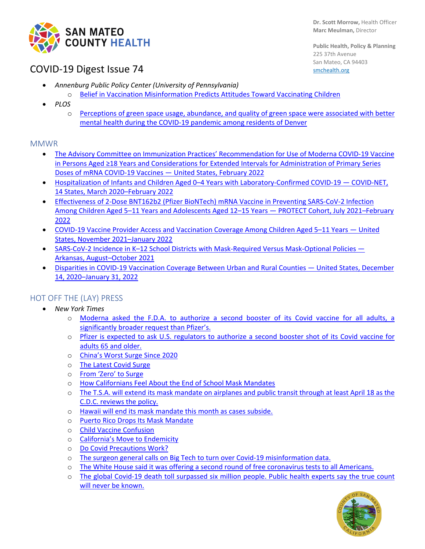

# COVID-19 Digest Issue 74

**Public Health, Policy & Planning** 225 37th Avenue San Mateo, CA 94403 [smchealth.org](https://www.smchealth.org/)

- *Annenburg Public Policy Center (University of Pennsylvania)*
	- [Belief in Vaccination Misinformation Predicts Attitudes Toward Vaccinating Children](https://www.annenbergpublicpolicycenter.org/belief-in-vaccination-misinformation-predicts-attitudes-toward-vaccinating-children/)
- *PLOS*
	- o [Perceptions of green space usage, abundance, and quality of green space were associated with better](https://journals.plos.org/plosone/article?id=10.1371/journal.pone.0263779#abstract0)  [mental health during the COVID-19 pandemic among residents of Denver](https://journals.plos.org/plosone/article?id=10.1371/journal.pone.0263779#abstract0)

#### MMWR

- [The Advisory Committee on Immunization Practices' Recommendation for Use of Moderna COVID-19 Vaccine](https://protect-us.mimecast.com/s/FEXdCzp47PcL0B4LtV4sjP)  in Persons Aged ≥18 Ye[ars and Considerations for Extended Intervals for Administration of Primary Series](https://protect-us.mimecast.com/s/FEXdCzp47PcL0B4LtV4sjP)  [Doses of mRNA COVID-19 Vaccines —](https://protect-us.mimecast.com/s/FEXdCzp47PcL0B4LtV4sjP) United States, February 2022
- Hospitalization of Infants and Children Aged 0–4 Years with Laboratory-Confirmed COVID-19 COVID-NET, [14 States, March 2020–February 2022](https://protect-us.mimecast.com/s/AurSClYk2QT7y6qrFqwmZ5)
- [Effectiveness of 2-Dose BNT162b2 \(Pfizer BioNTech\) mRNA Vaccine in Preventing SARS-CoV-2 Infection](https://www.cdc.gov/mmwr/volumes/71/wr/mm7111e1.htm)  [Among Children Aged 5–11 Years and Adolescents Aged 12–15 Years —](https://www.cdc.gov/mmwr/volumes/71/wr/mm7111e1.htm) PROTECT Cohort, July 2021–February [2022](https://www.cdc.gov/mmwr/volumes/71/wr/mm7111e1.htm)
- [COVID-19 Vaccine Provider Access and Vaccination Coverage Among Children Aged 5–11 Years —](https://www.cdc.gov/mmwr/volumes/71/wr/mm7110a4.htm) United [States, November 2021–January 2022](https://www.cdc.gov/mmwr/volumes/71/wr/mm7110a4.htm)
- SARS-CoV-2 Incidence in K-12 School Districts with Mask-Required Versus Mask-Optional Policies -[Arkansas, August–October 2021](https://protect-us.mimecast.com/s/VzXaCR6KPYcVBEA5uvJTih)
- [Disparities in COVID-19 Vaccination Coverage Between Urban and Rural Counties —](https://www.cdc.gov/mmwr/volumes/71/wr/mm7109a2.htm) United States, December [14, 2020–January 31, 2022](https://www.cdc.gov/mmwr/volumes/71/wr/mm7109a2.htm)

### HOT OFF THE (LAY) PRESS

- *New York Times*
	- o [Moderna asked the F.D.A. to authorize a second booster of its Covid vaccine for all adults, a](https://protect-us.mimecast.com/s/mkizCv2x8qIXRylqUz8EVn)  [significantly broader request than Pfizer's.](https://protect-us.mimecast.com/s/mkizCv2x8qIXRylqUz8EVn)
	- o [Pfizer is expected to ask U.S. regulators to authorize a second booster shot of its Covid vaccine for](https://protect-us.mimecast.com/s/v-qNCYEYypC8QGnLt9gy73)  adults 65 [and older.](https://protect-us.mimecast.com/s/v-qNCYEYypC8QGnLt9gy73)
	- o [China's Worst Surge Since 2020](https://www.nytimes.com/2022/03/14/briefing/china-kids-child-vaccine.html)
	- o [The Latest Covid Surge](https://www.nytimes.com/2022/03/15/briefing/covid-hong-kong-omicron-surge.html)
	- o [From 'Zero' to Surge](https://www.nytimes.com/2022/03/03/briefing/hong-kong-new-zealand-covid-surge.html)
	- o [How Californians Feel About the End of School Mask Mandates](https://www.nytimes.com/2022/03/14/us/california-school-mask-mandates.html)
	- o [The T.S.A. will extend its mask mandate on airplanes and public transit through at least April 18 as the](https://protect-us.mimecast.com/s/DxZFCBBXPocoBpPPsN4zyJ)  [C.D.C. reviews the policy.](https://protect-us.mimecast.com/s/DxZFCBBXPocoBpPPsN4zyJ)
	- o [Hawaii will end its mask mandate this month as cases subside.](https://www.nytimes.com/2022/03/08/us/hawaii-mask-mandate.html)
	- o [Puerto Rico Drops Its Mask Mandate](https://www.nytimes.com/live/2022/03/07/world/covid-19-mandates-cases-vaccine#new-york-city-public-schoolchildren-head-to-the-first-day-of-class-without-masks)
	- o [Child Vaccine Confusion](https://www.nytimes.com/2022/03/10/briefing/child-vaccine-confusion.html)
	- o [California's Move to Endemicity](https://www.nytimes.com/2022/03/09/briefing/californias-move-to-endemicity.html)
	- o [Do Covid Precautions Work?](https://www.nytimes.com/2022/03/09/briefing/covid-precautions-red-blue-states.html)
	- o [The surgeon general calls on Big Tech to turn over Covid-19 misinformation data.](https://www.nytimes.com/2022/03/03/technology/surgeon-general-covid-misinformation.html)
	- o [The White House said it was offering a second round of free coronavirus tests to all Americans.](https://www.nytimes.com/live/2022/03/07/world/covid-19-mandates-cases-vaccine#the-white-house-said-it-is-offering-a-second-round-of-free-coronavirus-tests-to-all-americans)
	- o [The global Covid-19 death toll surpassed six million people. Public health experts say the true count](https://protect-us.mimecast.com/s/wRv7CqxplRIW4PnPhQa9Wv)  [will never be known.](https://protect-us.mimecast.com/s/wRv7CqxplRIW4PnPhQa9Wv)

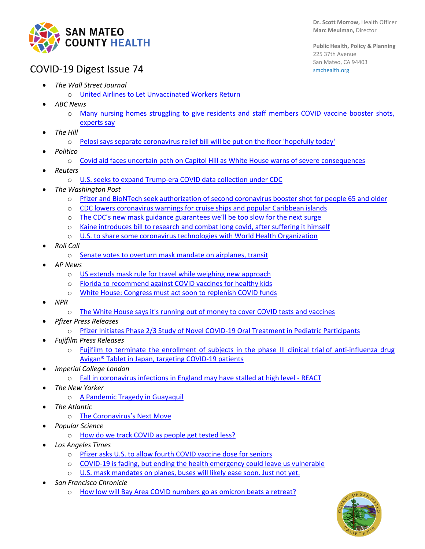

**Public Health, Policy & Planning** 225 37th Avenue San Mateo, CA 94403 [smchealth.org](https://www.smchealth.org/)

# COVID-19 Digest Issue 74

- *The Wall Street Journal*
	- o [United Airlines to Let Unvaccinated Workers Return](https://www.wsj.com/articles/united-airlines-to-let-unvaccinated-workers-return-11646869723?mod=hp_lista_pos1)
- *ABC News*
	- o [Many nursing homes struggling to give residents and staff members COVID vaccine booster shots,](https://abcnews.go.com/Health/nursing-homes-struggling-boost-residents-staff-members-experts/story?id=83300522)  [experts say](https://abcnews.go.com/Health/nursing-homes-struggling-boost-residents-staff-members-experts/story?id=83300522)
- *The Hill*
	- o [Pelosi says separate coronavirus relief bill will be put on the floor 'hopefully today'](https://thehill.com/homenews/house/597589-pelosi-says-separate-coronavirus-relief-bill-will-be-put-on-the-floor)
- *Politico*
	- o [Covid aid faces uncertain path on Capitol Hill as White House warns of severe consequences](https://www.politico.com/news/2022/03/10/more-covid-aid-uncertain-00016212)
- *Reuters*
	- o [U.S. seeks to expand Trump-era COVID data collection under CDC](https://www.reuters.com/world/us/exclusive-us-seeks-expand-trump-era-covid-data-collection-under-cdc-2022-03-14/)
- *The Washington Post*
	- o Pfizer and BioNTech [seek authorization of second coronavirus booster shot for people 65 and older](https://www.washingtonpost.com/health/2022/03/15/pfizer-second-booster-shot/)
	- o [CDC lowers coronavirus warnings for cruise ships and popular Caribbean islands](https://www.washingtonpost.com/travel/2022/03/14/cdc-caribbean-cruise-travel-warning/)
	- o [The CDC's new mask guidance guarantees we'll be too slow for the next surge](https://www.washingtonpost.com/outlook/2022/03/08/cdc-mask-guidance-mistake/)
	- o [Kaine introduces bill to research and combat long covid, after suffering it himself](https://www.washingtonpost.com/dc-md-va/2022/03/02/kaine-long-covid-bill/)
	- o [U.S. to share some coronavirus technologies with World Health Organization](https://www.washingtonpost.com/health/2022/03/03/us-coronavirus-technologies-world-health-organization/)
- *Roll Call*
	- o [Senate votes to overturn mask mandate on airplanes, transit](https://rollcall.com/2022/03/15/senate-votes-to-overturn-mask-mandate-on-airplanes-transit/)
- *AP News*
	- o [US extends mask rule for travel while weighing new approach](https://apnews.com/article/covid-business-health-centers-for-disease-control-and-prevention-public-health-7141feee4508b8e7d4b58bc005fecf3a)
	- o [Florida to recommend against COVID vaccines for healthy kids](https://apnews.com/article/coronavirus-pandemic-health-florida-ron-desantis-florida-department-of-health-a935793abc368ffc9aa5c2a2dda23e4b)
	- o [White House: Congress must act soon to replenish COVID funds](https://apnews.com/article/coronavirus-pandemic-business-health-congress-7bba01ec15bdc406c793bc835f717cd1)
- *NPR*
	- o [The White House says it's running out of money to cover COVID tests and vaccines](https://www.npr.org/2022/03/15/1086653838/the-white-house-says-its-running-out-of-money-to-cover-covid-tests-and-vaccines)
- *Pfizer Press Releases*
	- o [Pfizer Initiates Phase 2/3 Study of Novel COVID-19 Oral Treatment in Pediatric Participants](https://www.pfizer.com/news/press-release/press-release-detail/pfizer-initiates-phase-23-study-novel-covid-19-oral)
- *Fujifilm Press Releases*
	- o [Fujifilm to terminate the enrollment of subjects in the phase III clinical trial](https://www.fujifilm.com/jp/en/news/hq/7721) of anti-influenza drug Avigan® [Tablet in Japan, targeting COVID-19 patients](https://www.fujifilm.com/jp/en/news/hq/7721)
- *Imperial College London*
	- o [Fall in coronavirus infections in England may have stalled at high level -](https://www.imperial.ac.uk/news/233381/fall-coronavirus-infections-england-have-stalled/) REACT
- *The New Yorker* 
	- o [A Pandemic Tragedy in Guayaquil](https://www.newyorker.com/magazine/2022/03/14/a-pandemic-tragedy-in-guayaquil?utm_source=nl&utm_brand=tny&utm_mailing=TNY_Daily_Control_030722&utm_campaign=aud-dev&utm_medium=email&utm_term=tny_daily_recirc&bxid=5ec224d8a9edff5527505caa&cndid=61138842&hasha=76b0e58c87ce9b677e5e3efd8b84d7fb&hashb=fa8a4a6606c166f8a143fab9ad9fa1141b3aff96&hashc=11145baac4d4317848bac507e196627100d5d91f193bad3d6809aa4e38588cfb&esrc=bounceX&mbid=CRMNYR012019)
- *The Atlantic*
	- o [The Coronavirus's Next Move](https://www.theatlantic.com/science/archive/2022/03/new-covid-variant-mitigation/626980/)
- *Popular Science*
	- o [How do we track COVID as people get tested less?](https://www.popsci.com/health/new-covid-case-monitoring-tests/)
- *Los Angeles Times*
	- o [Pfizer asks U.S. to allow fourth COVID vaccine dose for seniors](https://www.latimes.com/science/story/2022-03-15/pfizer-seeking-ok-for-4th-covid-dose-for-seniors)
	- o [COVID-19 is fading, but ending the health emergency could leave us vulnerable](https://www.latimes.com/science/story/2022-03-14/why-you-may-miss-the-covid-public-health-emergency-when-its-over)
	- o [U.S. mask mandates on planes, buses will likely ease soon. Just not yet.](https://www.latimes.com/business/story/2022-03-10/mask-mandate-extended-planes-buses-transit)
- *San Francisco Chronicle* 
	- o [How low will Bay Area COVID numbers go as omicron beats a retreat?](https://www.sfchronicle.com/health/article/How-low-will-COVID-case-numbers-go-as-omicron-16978825.php)